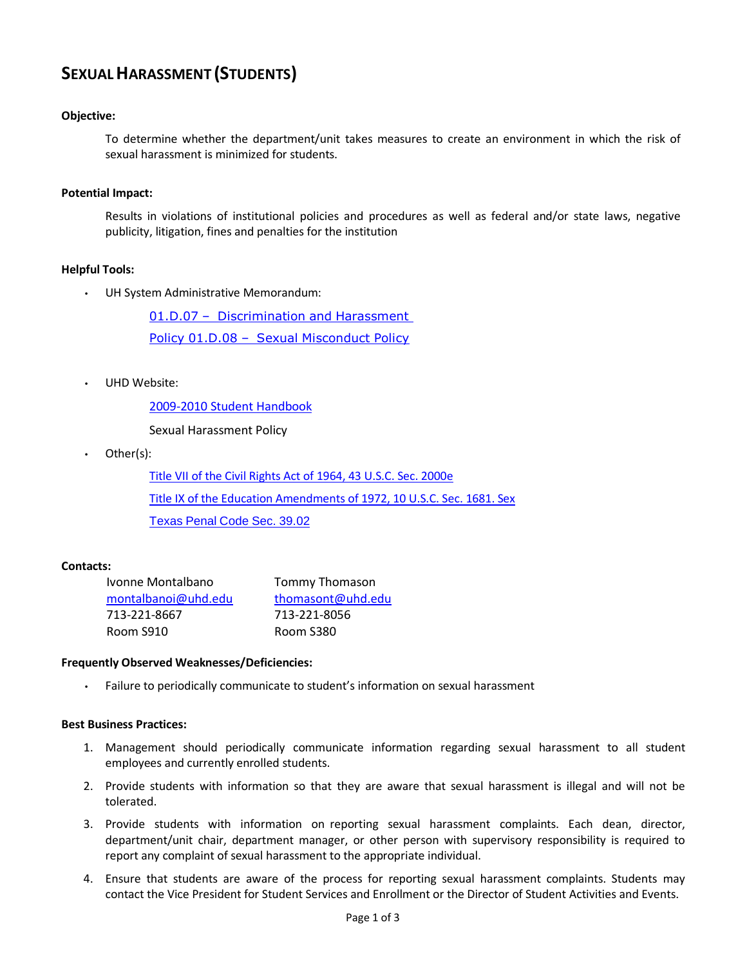# **SEXUALHARASSMENT (STUDENTS)**

## **Objective:**

To determine whether the department/unit takes measures to create an environment in which the risk of sexual harassment is minimized for students.

#### **Potential Impact:**

Results in violations of institutional policies and procedures as well as federal and/or state laws, negative publicity, litigation, fines and penalties for the institution

### **Helpful Tools:**

UH System Administrative Memorandum:

01.D.07 – [Discrimination](http://www.uh.edu/af/universityservices/policies/sam/1GenAdmin/1D7.pdf) and Harassment [Policy](http://www.uh.edu/af/universityservices/policies/sam/1GenAdmin/1D7.pdf) 01.D.08 - Sexual [Misconduct](http://www.uh.edu/af/universityservices/policies/sam/1GenAdmin/1D8.pdf) Policy

UHD Website:

2009-2010 [Student Handbook](http://www.uhd.edu/campus/handbook/documents/20092010.pdf)

Sexual Harassment Policy

• Other(s):

Title VII [of the Civil Rights](http://www.eeoc.gov/policy/vii.html) Act of 1964, 43 U.S.C. Sec. 2000e Title IX of the Education Amendments of 1972, 10 [U.S.C. Sec. 1681.](http://www.usdoj.gov/crt/cor/coord/titleixstat.php#Sec.%201681.%20Sex) Sex [Texas](http://www.statutes.legis.state.tx.us/Docs/PE/htm/PE.39.htm) Penal Code Sec. 39.02

# **Contacts:**

| Ivonne Montalbano   | <b>Tommy Thomason</b> |  |
|---------------------|-----------------------|--|
| montalbanoi@uhd.edu | thomasont@uhd.edu     |  |
| 713-221-8667        | 713-221-8056          |  |
| Room S910           | Room S380             |  |

#### **Frequently Observed Weaknesses/Deficiencies:**

• Failure to periodically communicate to student's information on sexual harassment

#### **Best Business Practices:**

- 1. Management should periodically communicate information regarding sexual harassment to all student employees and currently enrolled students.
- 2. Provide students with information so that they are aware that sexual harassment is illegal and will not be tolerated.
- 3. Provide students with information on reporting sexual harassment complaints. Each dean, director, department/unit chair, department manager, or other person with supervisory responsibility is required to report any complaint of sexual harassment to the appropriate individual.
- 4. Ensure that students are aware of the process for reporting sexual harassment complaints. Students may contact the Vice President for Student Services and Enrollment or the Director of Student Activities and Events.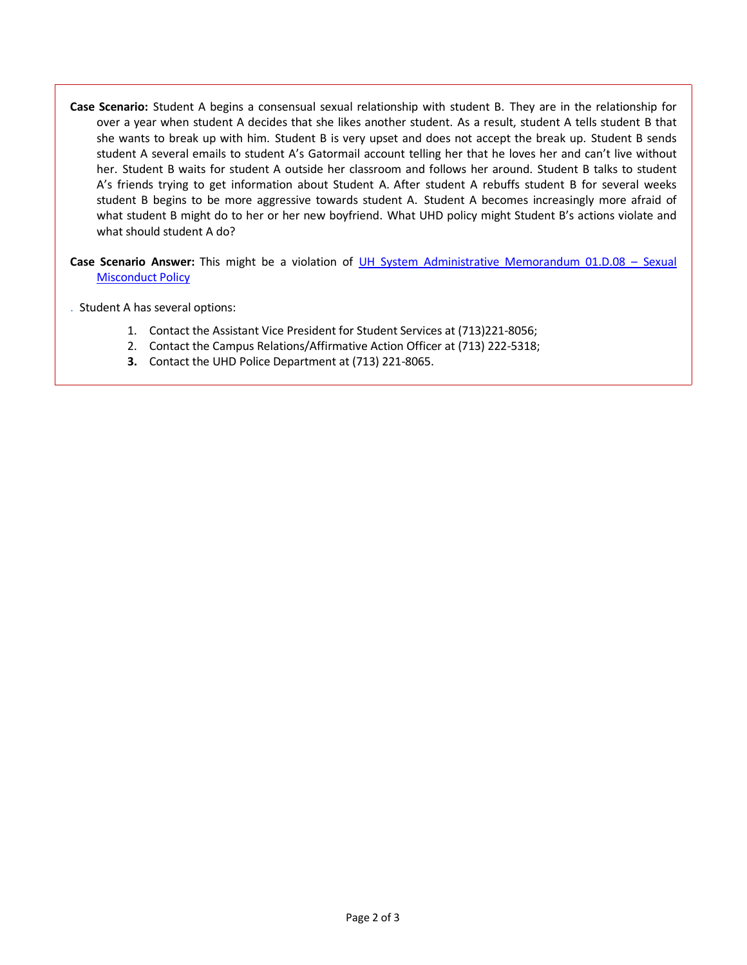**Case Scenario:** Student A begins a consensual sexual relationship with student B. They are in the relationship for over a year when student A decides that she likes another student. As a result, student A tells student B that she wants to break up with him. Student B is very upset and does not accept the break up. Student B sends student A several emails to student A's Gatormail account telling her that he loves her and can't live without her. Student B waits for student A outside her classroom and follows her around. Student B talks to student A's friends trying to get information about Student A. After student A rebuffs student B for several weeks student B begins to be more aggressive towards student A. Student A becomes increasingly more afraid of what student B might do to her or her new boyfriend. What UHD policy might Student B's actions violate and what should student A do?

**Case Scenario Answer:** This might be a violation of UH System [Administrative](http://www.uh.edu/af/universityservices/policies/sam/1GenAdmin/1D8.pdf) Memorandum 01.D.08 - Sexual [Misconduct](http://www.uh.edu/af/universityservices/policies/sam/1GenAdmin/1D8.pdf) Policy

- . Student A has several options:
	- 1. Contact the Assistant Vice President for Student Services at (713)221-8056;
	- 2. Contact the Campus Relations/Affirmative Action Officer at (713) 222-5318;
	- **3.** Contact the UHD Police Department at (713) 221-8065.